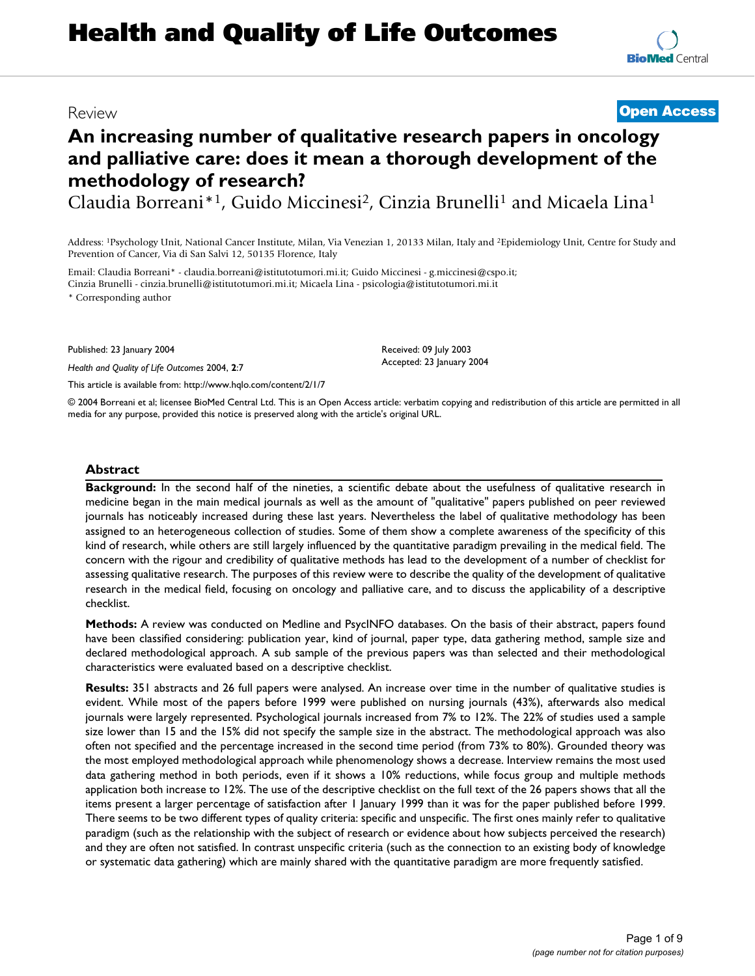# **Health and Quality of Life Outcomes**

## Review **[Open Access](http://www.biomedcentral.com/info/about/charter/)**

## **An increasing number of qualitative research papers in oncology and palliative care: does it mean a thorough development of the methodology of research?**

Claudia Borreani<sup>\*1</sup>, Guido Miccinesi<sup>2</sup>, Cinzia Brunelli<sup>1</sup> and Micaela Lina<sup>1</sup>

Address: 1Psychology Unit, National Cancer Institute, Milan, Via Venezian 1, 20133 Milan, Italy and 2Epidemiology Unit, Centre for Study and Prevention of Cancer, Via di San Salvi 12, 50135 Florence, Italy

Email: Claudia Borreani\* - claudia.borreani@istitutotumori.mi.it; Guido Miccinesi - g.miccinesi@cspo.it; Cinzia Brunelli - cinzia.brunelli@istitutotumori.mi.it; Micaela Lina - psicologia@istitutotumori.mi.it

\* Corresponding author

Published: 23 January 2004

*Health and Quality of Life Outcomes* 2004, **2**:7

[This article is available from: http://www.hqlo.com/content/2/1/7](http://www.hqlo.com/content/2/1/7)

Received: 09 July 2003 Accepted: 23 January 2004

© 2004 Borreani et al; licensee BioMed Central Ltd. This is an Open Access article: verbatim copying and redistribution of this article are permitted in all media for any purpose, provided this notice is preserved along with the article's original URL.

#### **Abstract**

**Background:** In the second half of the nineties, a scientific debate about the usefulness of qualitative research in medicine began in the main medical journals as well as the amount of "qualitative" papers published on peer reviewed journals has noticeably increased during these last years. Nevertheless the label of qualitative methodology has been assigned to an heterogeneous collection of studies. Some of them show a complete awareness of the specificity of this kind of research, while others are still largely influenced by the quantitative paradigm prevailing in the medical field. The concern with the rigour and credibility of qualitative methods has lead to the development of a number of checklist for assessing qualitative research. The purposes of this review were to describe the quality of the development of qualitative research in the medical field, focusing on oncology and palliative care, and to discuss the applicability of a descriptive checklist.

**Methods:** A review was conducted on Medline and PsycINFO databases. On the basis of their abstract, papers found have been classified considering: publication year, kind of journal, paper type, data gathering method, sample size and declared methodological approach. A sub sample of the previous papers was than selected and their methodological characteristics were evaluated based on a descriptive checklist.

**Results:** 351 abstracts and 26 full papers were analysed. An increase over time in the number of qualitative studies is evident. While most of the papers before 1999 were published on nursing journals (43%), afterwards also medical journals were largely represented. Psychological journals increased from 7% to 12%. The 22% of studies used a sample size lower than 15 and the 15% did not specify the sample size in the abstract. The methodological approach was also often not specified and the percentage increased in the second time period (from 73% to 80%). Grounded theory was the most employed methodological approach while phenomenology shows a decrease. Interview remains the most used data gathering method in both periods, even if it shows a 10% reductions, while focus group and multiple methods application both increase to 12%. The use of the descriptive checklist on the full text of the 26 papers shows that all the items present a larger percentage of satisfaction after 1 January 1999 than it was for the paper published before 1999. There seems to be two different types of quality criteria: specific and unspecific. The first ones mainly refer to qualitative paradigm (such as the relationship with the subject of research or evidence about how subjects perceived the research) and they are often not satisfied. In contrast unspecific criteria (such as the connection to an existing body of knowledge or systematic data gathering) which are mainly shared with the quantitative paradigm are more frequently satisfied.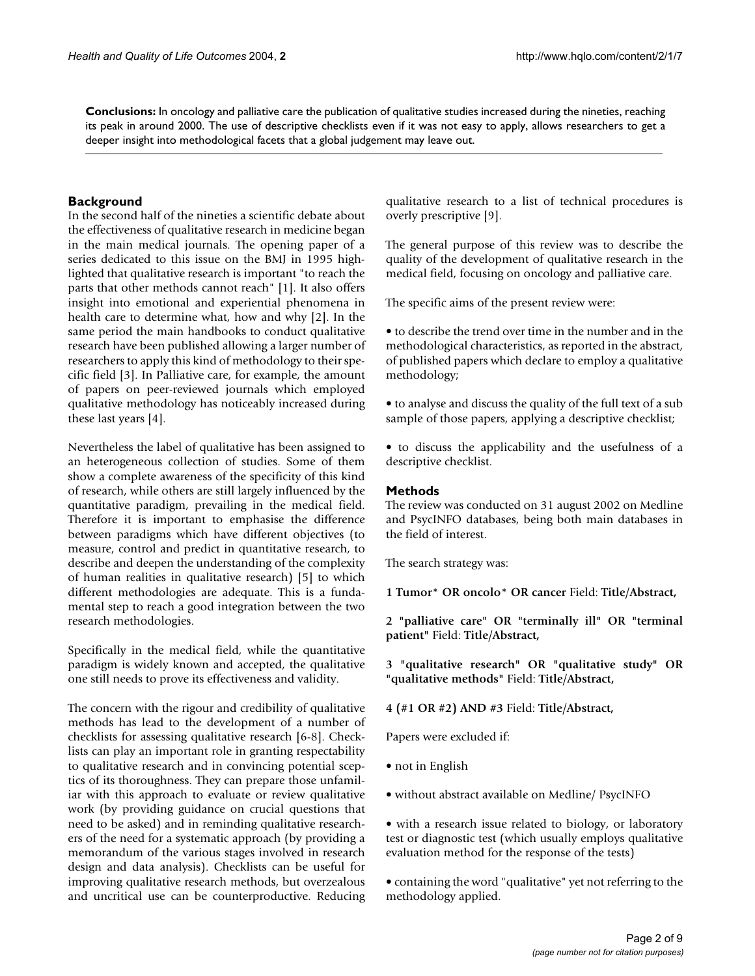**Conclusions:** In oncology and palliative care the publication of qualitative studies increased during the nineties, reaching its peak in around 2000. The use of descriptive checklists even if it was not easy to apply, allows researchers to get a deeper insight into methodological facets that a global judgement may leave out.

## **Background**

In the second half of the nineties a scientific debate about the effectiveness of qualitative research in medicine began in the main medical journals. The opening paper of a series dedicated to this issue on the BMJ in 1995 highlighted that qualitative research is important "to reach the parts that other methods cannot reach" [1]. It also offers insight into emotional and experiential phenomena in health care to determine what, how and why [2]. In the same period the main handbooks to conduct qualitative research have been published allowing a larger number of researchers to apply this kind of methodology to their specific field [3]. In Palliative care, for example, the amount of papers on peer-reviewed journals which employed qualitative methodology has noticeably increased during these last years [4].

Nevertheless the label of qualitative has been assigned to an heterogeneous collection of studies. Some of them show a complete awareness of the specificity of this kind of research, while others are still largely influenced by the quantitative paradigm, prevailing in the medical field. Therefore it is important to emphasise the difference between paradigms which have different objectives (to measure, control and predict in quantitative research, to describe and deepen the understanding of the complexity of human realities in qualitative research) [5] to which different methodologies are adequate. This is a fundamental step to reach a good integration between the two research methodologies.

Specifically in the medical field, while the quantitative paradigm is widely known and accepted, the qualitative one still needs to prove its effectiveness and validity.

The concern with the rigour and credibility of qualitative methods has lead to the development of a number of checklists for assessing qualitative research [6-8]. Checklists can play an important role in granting respectability to qualitative research and in convincing potential sceptics of its thoroughness. They can prepare those unfamiliar with this approach to evaluate or review qualitative work (by providing guidance on crucial questions that need to be asked) and in reminding qualitative researchers of the need for a systematic approach (by providing a memorandum of the various stages involved in research design and data analysis). Checklists can be useful for improving qualitative research methods, but overzealous and uncritical use can be counterproductive. Reducing qualitative research to a list of technical procedures is overly prescriptive [9].

The general purpose of this review was to describe the quality of the development of qualitative research in the medical field, focusing on oncology and palliative care.

The specific aims of the present review were:

• to describe the trend over time in the number and in the methodological characteristics, as reported in the abstract, of published papers which declare to employ a qualitative methodology;

• to analyse and discuss the quality of the full text of a sub sample of those papers, applying a descriptive checklist;

• to discuss the applicability and the usefulness of a descriptive checklist.

## **Methods**

The review was conducted on 31 august 2002 on Medline and PsycINFO databases, being both main databases in the field of interest.

The search strategy was:

**1 Tumor\* OR oncolo\* OR cancer** Field: **Title/Abstract,**

**2 "palliative care" OR "terminally ill" OR "terminal patient"** Field: **Title/Abstract,**

**3 "qualitative research" OR "qualitative study" OR "qualitative methods"** Field: **Title/Abstract,**

**4 (#1 OR #2) AND #3** Field: **Title/Abstract,**

Papers were excluded if:

- not in English
- without abstract available on Medline/ PsycINFO

• with a research issue related to biology, or laboratory test or diagnostic test (which usually employs qualitative evaluation method for the response of the tests)

• containing the word "qualitative" yet not referring to the methodology applied.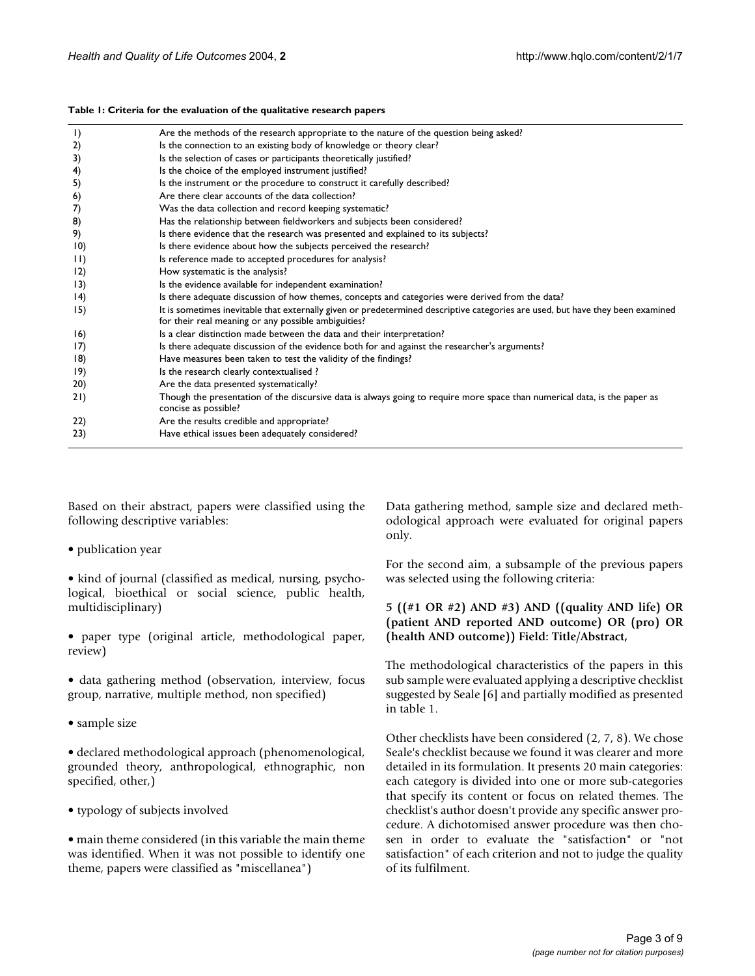#### <span id="page-2-0"></span>**Table 1: Criteria for the evaluation of the qualitative research papers**

| $\vert$          | Are the methods of the research appropriate to the nature of the question being asked?                                                                                                |
|------------------|---------------------------------------------------------------------------------------------------------------------------------------------------------------------------------------|
| 2)               | Is the connection to an existing body of knowledge or theory clear?                                                                                                                   |
| 3)               | Is the selection of cases or participants theoretically justified?                                                                                                                    |
| 4)               | Is the choice of the employed instrument justified?                                                                                                                                   |
| 5)               | Is the instrument or the procedure to construct it carefully described?                                                                                                               |
| 6)               | Are there clear accounts of the data collection?                                                                                                                                      |
| 7)               | Was the data collection and record keeping systematic?                                                                                                                                |
| 8)               | Has the relationship between fieldworkers and subjects been considered?                                                                                                               |
| 9)               | Is there evidence that the research was presented and explained to its subjects?                                                                                                      |
| $ 0\rangle$      | Is there evidence about how the subjects perceived the research?                                                                                                                      |
| $\vert \, \vert$ | Is reference made to accepted procedures for analysis?                                                                                                                                |
| 2)               | How systematic is the analysis?                                                                                                                                                       |
| 13)              | Is the evidence available for independent examination?                                                                                                                                |
| $ 4\rangle$      | Is there adequate discussion of how themes, concepts and categories were derived from the data?                                                                                       |
| 15)              | It is sometimes inevitable that externally given or predetermined descriptive categories are used, but have they been examined<br>for their real meaning or any possible ambiguities? |
| 16)              | Is a clear distinction made between the data and their interpretation?                                                                                                                |
| 17)              | Is there adequate discussion of the evidence both for and against the researcher's arguments?                                                                                         |
| 18)              | Have measures been taken to test the validity of the findings?                                                                                                                        |
| 19)              | Is the research clearly contextualised ?                                                                                                                                              |
| 20)              | Are the data presented systematically?                                                                                                                                                |
| 21)              | Though the presentation of the discursive data is always going to require more space than numerical data, is the paper as<br>concise as possible?                                     |
| 22)              | Are the results credible and appropriate?                                                                                                                                             |
| 23)              | Have ethical issues been adequately considered?                                                                                                                                       |
|                  |                                                                                                                                                                                       |

Based on their abstract, papers were classified using the following descriptive variables:

• publication year

• kind of journal (classified as medical, nursing, psychological, bioethical or social science, public health, multidisciplinary)

- paper type (original article, methodological paper, review)
- data gathering method (observation, interview, focus group, narrative, multiple method, non specified)
- sample size

• declared methodological approach (phenomenological, grounded theory, anthropological, ethnographic, non specified, other,)

• typology of subjects involved

• main theme considered (in this variable the main theme was identified. When it was not possible to identify one theme, papers were classified as "miscellanea")

Data gathering method, sample size and declared methodological approach were evaluated for original papers only.

For the second aim, a subsample of the previous papers was selected using the following criteria:

**5 ((#1 OR #2) AND #3) AND ((quality AND life) OR (patient AND reported AND outcome) OR (pro) OR (health AND outcome)) Field: Title/Abstract,**

The methodological characteristics of the papers in this sub sample were evaluated applying a descriptive checklist suggested by Seale [6] and partially modified as presented in table [1.](#page-2-0)

Other checklists have been considered (2, 7, 8). We chose Seale's checklist because we found it was clearer and more detailed in its formulation. It presents 20 main categories: each category is divided into one or more sub-categories that specify its content or focus on related themes. The checklist's author doesn't provide any specific answer procedure. A dichotomised answer procedure was then chosen in order to evaluate the "satisfaction" or "not satisfaction" of each criterion and not to judge the quality of its fulfilment.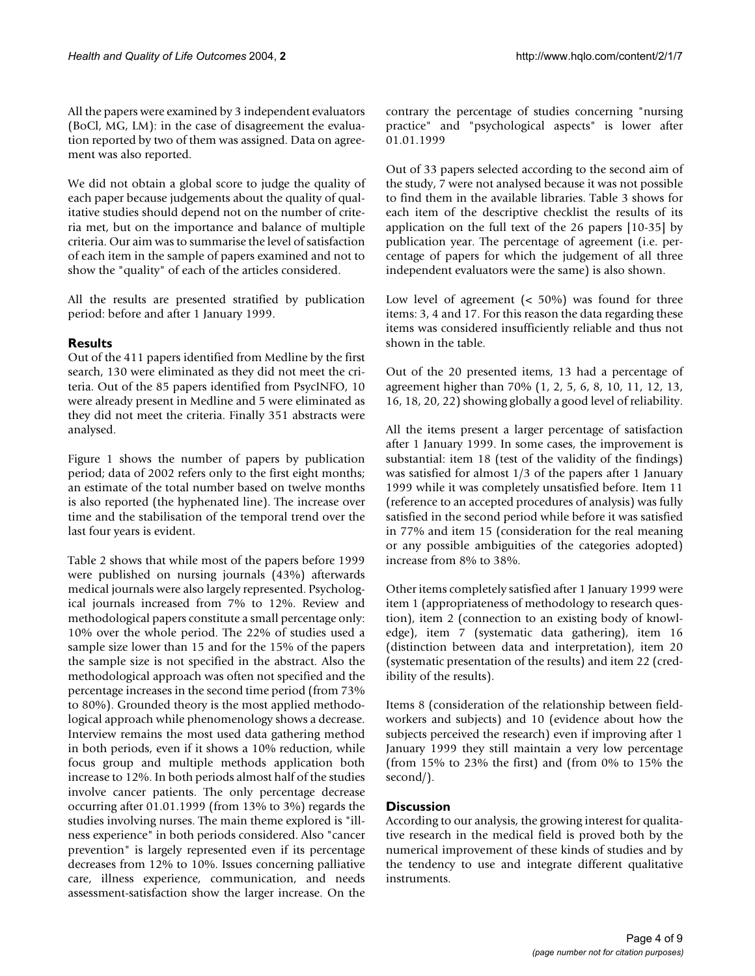All the papers were examined by 3 independent evaluators (BoCl, MG, LM): in the case of disagreement the evaluation reported by two of them was assigned. Data on agreement was also reported.

We did not obtain a global score to judge the quality of each paper because judgements about the quality of qualitative studies should depend not on the number of criteria met, but on the importance and balance of multiple criteria. Our aim was to summarise the level of satisfaction of each item in the sample of papers examined and not to show the "quality" of each of the articles considered.

All the results are presented stratified by publication period: before and after 1 January 1999.

## **Results**

Out of the 411 papers identified from Medline by the first search, 130 were eliminated as they did not meet the criteria. Out of the 85 papers identified from PsycINFO, 10 were already present in Medline and 5 were eliminated as they did not meet the criteria. Finally 351 abstracts were analysed.

Figure 1 shows the number of papers by publication period; data of 2002 refers only to the first eight months; an estimate of the total number based on twelve months is also reported (the hyphenated line). The increase over time and the stabilisation of the temporal trend over the last four years is evident.

Table [2](#page-5-0) shows that while most of the papers before 1999 were published on nursing journals (43%) afterwards medical journals were also largely represented. Psychological journals increased from 7% to 12%. Review and methodological papers constitute a small percentage only: 10% over the whole period. The 22% of studies used a sample size lower than 15 and for the 15% of the papers the sample size is not specified in the abstract. Also the methodological approach was often not specified and the percentage increases in the second time period (from 73% to 80%). Grounded theory is the most applied methodological approach while phenomenology shows a decrease. Interview remains the most used data gathering method in both periods, even if it shows a 10% reduction, while focus group and multiple methods application both increase to 12%. In both periods almost half of the studies involve cancer patients. The only percentage decrease occurring after 01.01.1999 (from 13% to 3%) regards the studies involving nurses. The main theme explored is "illness experience" in both periods considered. Also "cancer prevention" is largely represented even if its percentage decreases from 12% to 10%. Issues concerning palliative care, illness experience, communication, and needs assessment-satisfaction show the larger increase. On the contrary the percentage of studies concerning "nursing practice" and "psychological aspects" is lower after 01.01.1999

Out of 33 papers selected according to the second aim of the study, 7 were not analysed because it was not possible to find them in the available libraries. Table [3](#page-7-0) shows for each item of the descriptive checklist the results of its application on the full text of the 26 papers [10-35] by publication year. The percentage of agreement (i.e. percentage of papers for which the judgement of all three independent evaluators were the same) is also shown.

Low level of agreement  $( $50\%$ ) was found for three$ items: 3, 4 and 17. For this reason the data regarding these items was considered insufficiently reliable and thus not shown in the table.

Out of the 20 presented items, 13 had a percentage of agreement higher than 70% (1, 2, 5, 6, 8, 10, 11, 12, 13, 16, 18, 20, 22) showing globally a good level of reliability.

All the items present a larger percentage of satisfaction after 1 January 1999. In some cases, the improvement is substantial: item 18 (test of the validity of the findings) was satisfied for almost 1/3 of the papers after 1 January 1999 while it was completely unsatisfied before. Item 11 (reference to an accepted procedures of analysis) was fully satisfied in the second period while before it was satisfied in 77% and item 15 (consideration for the real meaning or any possible ambiguities of the categories adopted) increase from 8% to 38%.

Other items completely satisfied after 1 January 1999 were item 1 (appropriateness of methodology to research question), item 2 (connection to an existing body of knowledge), item 7 (systematic data gathering), item 16 (distinction between data and interpretation), item 20 (systematic presentation of the results) and item 22 (credibility of the results).

Items 8 (consideration of the relationship between fieldworkers and subjects) and 10 (evidence about how the subjects perceived the research) even if improving after 1 January 1999 they still maintain a very low percentage (from 15% to 23% the first) and (from 0% to 15% the second/).

## **Discussion**

According to our analysis, the growing interest for qualitative research in the medical field is proved both by the numerical improvement of these kinds of studies and by the tendency to use and integrate different qualitative instruments.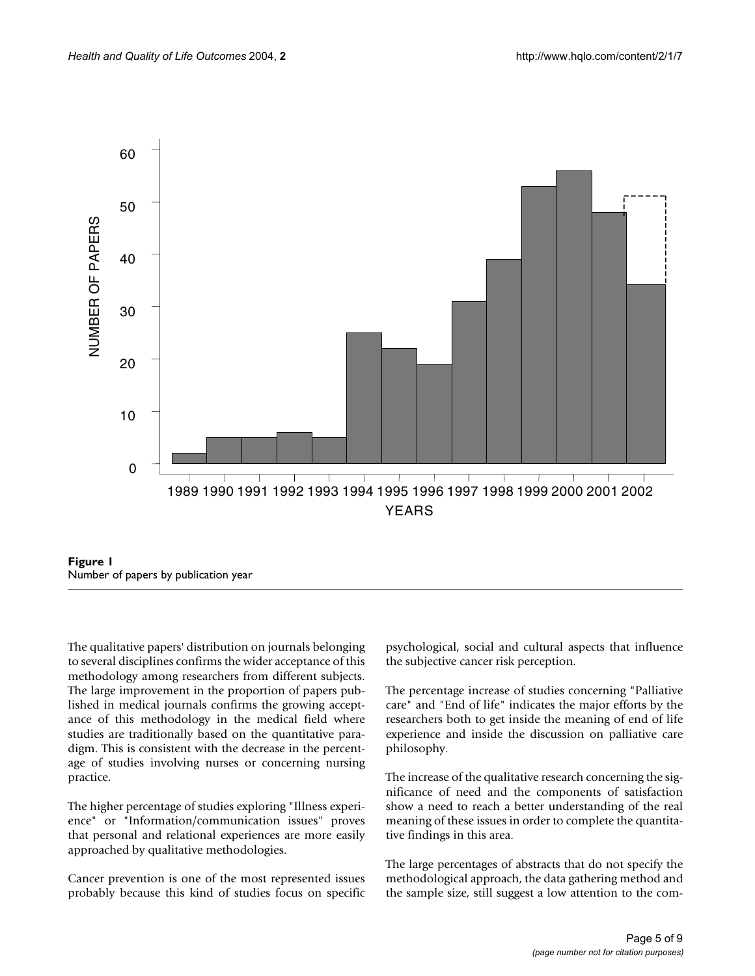

**Figure 1** 

The qualitative papers' distribution on journals belonging to several disciplines confirms the wider acceptance of this methodology among researchers from different subjects. The large improvement in the proportion of papers published in medical journals confirms the growing acceptance of this methodology in the medical field where studies are traditionally based on the quantitative paradigm. This is consistent with the decrease in the percentage of studies involving nurses or concerning nursing practice.

The higher percentage of studies exploring "Illness experience" or "Information/communication issues" proves that personal and relational experiences are more easily approached by qualitative methodologies.

Cancer prevention is one of the most represented issues probably because this kind of studies focus on specific psychological, social and cultural aspects that influence the subjective cancer risk perception.

The percentage increase of studies concerning "Palliative care" and "End of life" indicates the major efforts by the researchers both to get inside the meaning of end of life experience and inside the discussion on palliative care philosophy.

The increase of the qualitative research concerning the significance of need and the components of satisfaction show a need to reach a better understanding of the real meaning of these issues in order to complete the quantitative findings in this area.

The large percentages of abstracts that do not specify the methodological approach, the data gathering method and the sample size, still suggest a low attention to the com-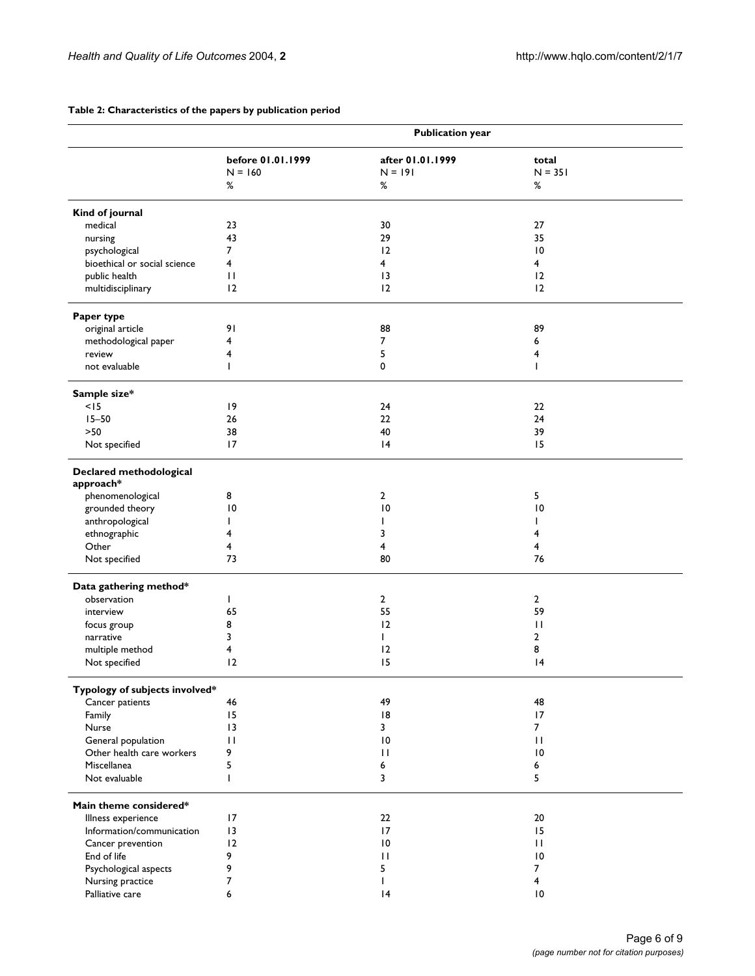|                                                   | <b>Publication year</b> |                  |                 |  |
|---------------------------------------------------|-------------------------|------------------|-----------------|--|
|                                                   | before 01.01.1999       | after 01.01.1999 | total           |  |
|                                                   | $N = 160$               | $N = 191$        | $N = 351$       |  |
|                                                   | %                       | $\%$             | $\%$            |  |
| Kind of journal                                   |                         |                  |                 |  |
| medical                                           | 23                      | 30               | 27              |  |
| nursing                                           | 43                      | 29               | 35              |  |
| psychological                                     | $\overline{7}$          | 12               | $\overline{10}$ |  |
| bioethical or social science                      | 4                       | 4                | 4               |  |
| public health                                     | $\mathbf{H}$            | 3                | 12              |  |
| multidisciplinary                                 | 12                      | 12               | 12              |  |
|                                                   |                         |                  |                 |  |
| Paper type                                        | 91                      |                  |                 |  |
| original article                                  |                         | 88               | 89              |  |
| methodological paper                              | 4                       | 7                | 6               |  |
| review                                            | 4                       | 5                | 4               |  |
| not evaluable                                     | ı                       | 0                | T               |  |
| Sample size*                                      |                         |                  |                 |  |
| < 15                                              | 9                       | 24               | 22              |  |
| $15 - 50$                                         | 26                      | 22               | 24              |  |
| $>50$                                             | 38                      | 40               | 39              |  |
| Not specified                                     | 17                      | 4                | 15              |  |
| Declared methodological<br>approach*              |                         |                  |                 |  |
| phenomenological                                  | 8                       | $\overline{2}$   | 5               |  |
| grounded theory                                   | $\overline{0}$          | $\overline{10}$  | 10              |  |
| anthropological                                   | L                       | $\mathbf{I}$     | $\mathbf{I}$    |  |
| ethnographic                                      | 4                       | 3                | 4               |  |
| Other                                             | 4                       | 4                | 4               |  |
| Not specified                                     | 73                      | 80               | 76              |  |
| Data gathering method*                            |                         |                  |                 |  |
| observation                                       | L                       | $\overline{2}$   | $\overline{2}$  |  |
| interview                                         | 65                      | 55               | 59              |  |
| focus group                                       | 8                       | 12               | П               |  |
| narrative                                         | 3                       | $\mathsf{I}$     | 2               |  |
|                                                   | 4                       | 12               | 8               |  |
| multiple method<br>Not specified                  | 12                      | 15               | 4               |  |
|                                                   |                         |                  |                 |  |
| Typology of subjects involved*<br>Cancer patients | 46                      | 49               | 48              |  |
|                                                   | 15                      | 18               | 17              |  |
| Family                                            | 3                       | 3                | $\overline{7}$  |  |
| Nurse<br>General population                       | $\mathbf{H}$            | 0                | $\mathbf{H}$    |  |
|                                                   |                         |                  |                 |  |
| Other health care workers                         | 9                       | $\mathbf{H}$     | 10              |  |
| Miscellanea                                       | 5                       | 6                | 6               |  |
| Not evaluable                                     | I                       | 3                | 5               |  |
| Main theme considered*                            |                         |                  |                 |  |
| Illness experience                                | 17                      | 22               | 20              |  |
| Information/communication                         | $\overline{13}$         | 17               | 15              |  |
| Cancer prevention                                 | 12                      | 0                | $\mathbf{H}$    |  |
| End of life                                       | 9                       | $\mathbf{H}$     | $\overline{10}$ |  |
| Psychological aspects                             | 9                       | 5                | $\overline{7}$  |  |
| Nursing practice                                  | 7                       | T                | 4               |  |
| Palliative care                                   | 6                       | 4                | $\overline{10}$ |  |

### <span id="page-5-0"></span>**Table 2: Characteristics of the papers by publication period**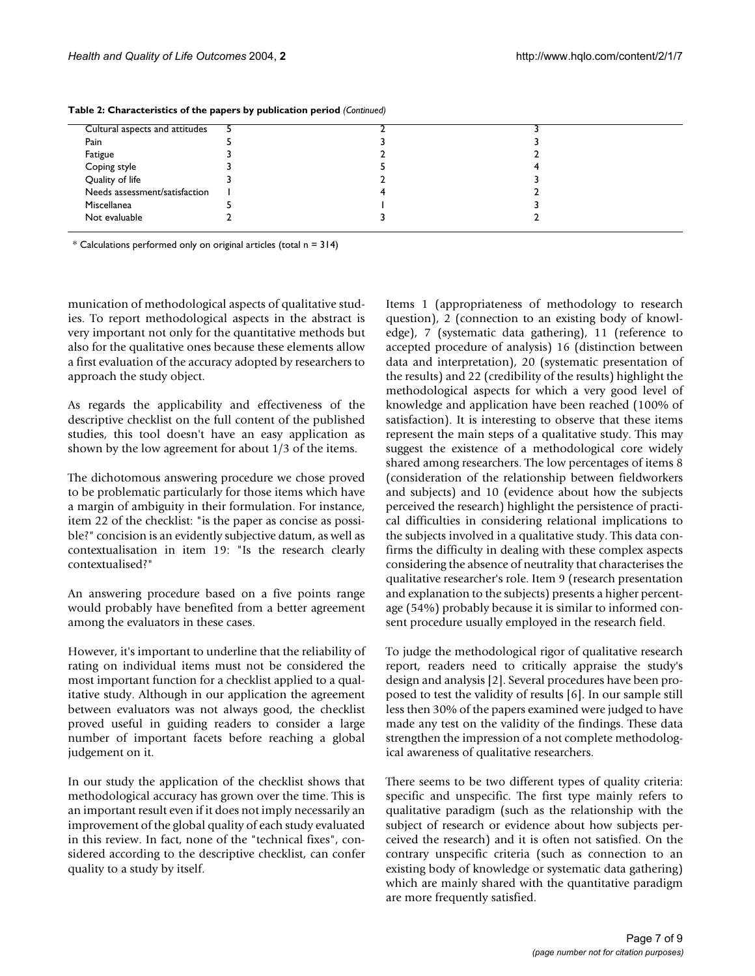| Cultural aspects and attitudes |  |  |  |
|--------------------------------|--|--|--|
| Pain                           |  |  |  |
| Fatigue                        |  |  |  |
| Coping style                   |  |  |  |
| Quality of life                |  |  |  |
| Needs assessment/satisfaction  |  |  |  |
| Miscellanea                    |  |  |  |
| Not evaluable                  |  |  |  |

**Table 2: Characteristics of the papers by publication period** *(Continued)*

 $*$  Calculations performed only on original articles (total  $n = 314$ )

munication of methodological aspects of qualitative studies. To report methodological aspects in the abstract is very important not only for the quantitative methods but also for the qualitative ones because these elements allow a first evaluation of the accuracy adopted by researchers to approach the study object.

As regards the applicability and effectiveness of the descriptive checklist on the full content of the published studies, this tool doesn't have an easy application as shown by the low agreement for about 1/3 of the items.

The dichotomous answering procedure we chose proved to be problematic particularly for those items which have a margin of ambiguity in their formulation. For instance, item 22 of the checklist: "is the paper as concise as possible?" concision is an evidently subjective datum, as well as contextualisation in item 19: "Is the research clearly contextualised?"

An answering procedure based on a five points range would probably have benefited from a better agreement among the evaluators in these cases.

However, it's important to underline that the reliability of rating on individual items must not be considered the most important function for a checklist applied to a qualitative study. Although in our application the agreement between evaluators was not always good, the checklist proved useful in guiding readers to consider a large number of important facets before reaching a global judgement on it.

In our study the application of the checklist shows that methodological accuracy has grown over the time. This is an important result even if it does not imply necessarily an improvement of the global quality of each study evaluated in this review. In fact, none of the "technical fixes", considered according to the descriptive checklist, can confer quality to a study by itself.

Items 1 (appropriateness of methodology to research question), 2 (connection to an existing body of knowledge), 7 (systematic data gathering), 11 (reference to accepted procedure of analysis) 16 (distinction between data and interpretation), 20 (systematic presentation of the results) and 22 (credibility of the results) highlight the methodological aspects for which a very good level of knowledge and application have been reached (100% of satisfaction). It is interesting to observe that these items represent the main steps of a qualitative study. This may suggest the existence of a methodological core widely shared among researchers. The low percentages of items 8 (consideration of the relationship between fieldworkers and subjects) and 10 (evidence about how the subjects perceived the research) highlight the persistence of practical difficulties in considering relational implications to the subjects involved in a qualitative study. This data confirms the difficulty in dealing with these complex aspects considering the absence of neutrality that characterises the qualitative researcher's role. Item 9 (research presentation and explanation to the subjects) presents a higher percentage (54%) probably because it is similar to informed consent procedure usually employed in the research field.

To judge the methodological rigor of qualitative research report, readers need to critically appraise the study's design and analysis [2]. Several procedures have been proposed to test the validity of results [6]. In our sample still less then 30% of the papers examined were judged to have made any test on the validity of the findings. These data strengthen the impression of a not complete methodological awareness of qualitative researchers.

There seems to be two different types of quality criteria: specific and unspecific. The first type mainly refers to qualitative paradigm (such as the relationship with the subject of research or evidence about how subjects perceived the research) and it is often not satisfied. On the contrary unspecific criteria (such as connection to an existing body of knowledge or systematic data gathering) which are mainly shared with the quantitative paradigm are more frequently satisfied.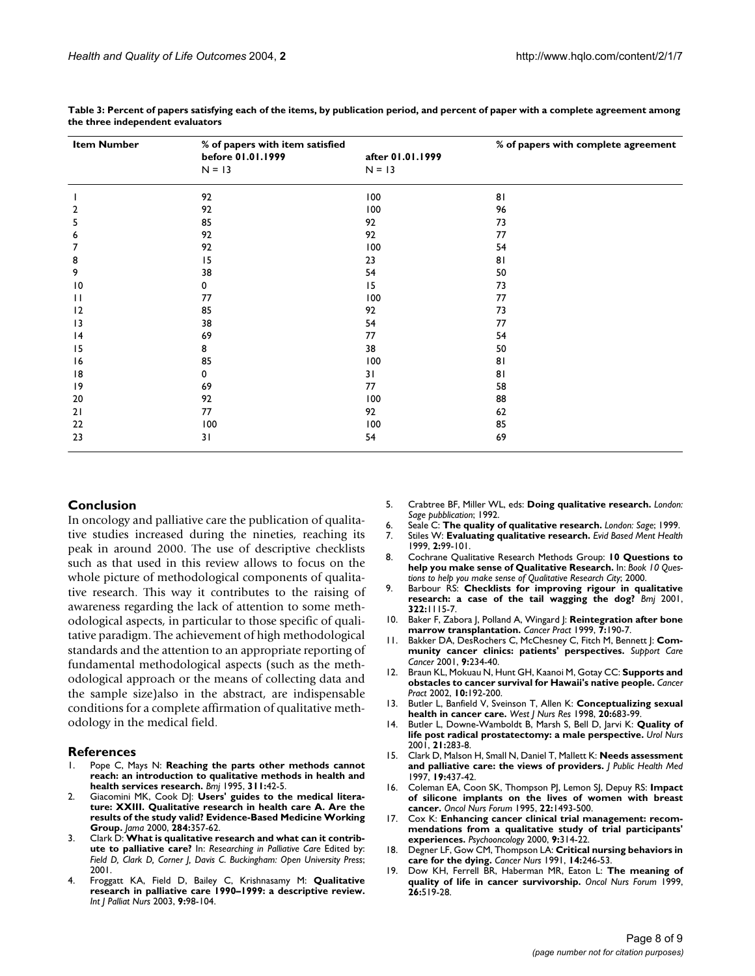| <b>Item Number</b> | % of papers with item satisfied |                  | % of papers with complete agreement |  |
|--------------------|---------------------------------|------------------|-------------------------------------|--|
|                    | before 01.01.1999               | after 01.01.1999 |                                     |  |
|                    | $N = 13$                        | $N = 13$         |                                     |  |
|                    | 92                              | 100              | 81                                  |  |
| $\overline{2}$     | 92                              | 100              | 96                                  |  |
| 5                  | 85                              | 92               | 73                                  |  |
| 6                  | 92                              | 92               | 77                                  |  |
|                    | 92                              | 100              | 54                                  |  |
| 8                  | 15                              | 23               | 81                                  |  |
| 9                  | 38                              | 54               | 50                                  |  |
| 10                 | 0                               | 15               | 73                                  |  |
| П                  | 77                              | 100              | 77                                  |  |
| 12                 | 85                              | 92               | 73                                  |  |
| 13                 | 38                              | 54               | 77                                  |  |
| 4                  | 69                              | 77               | 54                                  |  |
| 15                 | 8                               | 38               | 50                                  |  |
| 16                 | 85                              | 100              | 81                                  |  |
| 18                 | 0                               | 31               | 81                                  |  |
| 19                 | 69                              | 77               | 58                                  |  |
| 20                 | 92                              | 100              | 88                                  |  |
| 21                 | 77                              | 92               | 62                                  |  |
| 22                 | 100                             | 100              | 85                                  |  |
| 23                 | 31                              | 54               | 69                                  |  |

<span id="page-7-0"></span>**Table 3: Percent of papers satisfying each of the items, by publication period, and percent of paper with a complete agreement among the three independent evaluators**

#### **Conclusion**

In oncology and palliative care the publication of qualitative studies increased during the nineties, reaching its peak in around 2000. The use of descriptive checklists such as that used in this review allows to focus on the whole picture of methodological components of qualitative research. This way it contributes to the raising of awareness regarding the lack of attention to some methodological aspects, in particular to those specific of qualitative paradigm. The achievement of high methodological standards and the attention to an appropriate reporting of fundamental methodological aspects (such as the methodological approach or the means of collecting data and the sample size)also in the abstract, are indispensable conditions for a complete affirmation of qualitative methodology in the medical field.

#### **References**

- 1. Pope C, Mays N: **[Reaching the parts other methods cannot](http://www.ncbi.nlm.nih.gov/entrez/query.fcgi?cmd=Retrieve&db=PubMed&dopt=Abstract&list_uids=7613329) [reach: an introduction to qualitative methods in health and](http://www.ncbi.nlm.nih.gov/entrez/query.fcgi?cmd=Retrieve&db=PubMed&dopt=Abstract&list_uids=7613329) [health services research.](http://www.ncbi.nlm.nih.gov/entrez/query.fcgi?cmd=Retrieve&db=PubMed&dopt=Abstract&list_uids=7613329)** *Bmj* 1995, **311:**42-5.
- 2. Giacomini MK, Cook DJ: **[Users' guides to the medical litera](http://www.ncbi.nlm.nih.gov/entrez/query.fcgi?cmd=Retrieve&db=PubMed&dopt=Abstract&list_uids=10.1001/jama.284.3.357)[ture: XXIII. Qualitative research in health care A. Are the](http://www.ncbi.nlm.nih.gov/entrez/query.fcgi?cmd=Retrieve&db=PubMed&dopt=Abstract&list_uids=10.1001/jama.284.3.357) results of the study valid? Evidence-Based Medicine Working [Group](http://www.ncbi.nlm.nih.gov/entrez/query.fcgi?cmd=Retrieve&db=PubMed&dopt=Abstract&list_uids=10.1001/jama.284.3.357)[.](http://www.ncbi.nlm.nih.gov/entrez/query.fcgi?cmd=Retrieve&db=PubMed&dopt=Abstract&list_uids=10891968)** *Jama* 2000, **284:**357-62.
- Clark D: What is qualitative research and what can it contrib**ute to palliative care?** In: *Researching in Palliative Care* Edited by: *Field D, Clark D, Corner J, Davis C*. *Buckingham: Open University Press*; 2001.
- 4. Froggatt KA, Field D, Bailey C, Krishnasamy M: **[Qualitative](http://www.ncbi.nlm.nih.gov/entrez/query.fcgi?cmd=Retrieve&db=PubMed&dopt=Abstract&list_uids=12682571) [research in palliative care 1990–1999: a descriptive review.](http://www.ncbi.nlm.nih.gov/entrez/query.fcgi?cmd=Retrieve&db=PubMed&dopt=Abstract&list_uids=12682571)** *Int J Palliat Nurs* 2003, **9:**98-104.
- 5. Crabtree BF, Miller WL, eds: **Doing qualitative research.** *London: Sage pubblication*; 1992.
- 6. Seale C: **The quality of qualitative research.** *London: Sage*; 1999.
- 7. Stiles W: **Evaluating qualitative research.** *Evid Based Ment Health* 1999, **2:**99-101.
- 8. Cochrane Qualitative Research Methods Group: **10 Questions to help you make sense of Qualitative Research.** In: *Book 10 Questions to help you make sense of Qualitative Research City*; 2000.
- 9. Barbour RS: **[Checklists for improving rigour in qualitative](http://www.ncbi.nlm.nih.gov/entrez/query.fcgi?cmd=Retrieve&db=PubMed&dopt=Abstract&list_uids=10.1136/bmj.322.7294.1115) [research: a case of the tail wagging the dog?](http://www.ncbi.nlm.nih.gov/entrez/query.fcgi?cmd=Retrieve&db=PubMed&dopt=Abstract&list_uids=10.1136/bmj.322.7294.1115)** *Bmj* 2001, **322:**1115-7.
- 10. Baker F, Zabora J, Polland A, Wingard J: **[Reintegration after bone](http://www.ncbi.nlm.nih.gov/entrez/query.fcgi?cmd=Retrieve&db=PubMed&dopt=Abstract&list_uids=10.1046/j.1523-5394.1999.74005.x) [marrow transplantation](http://www.ncbi.nlm.nih.gov/entrez/query.fcgi?cmd=Retrieve&db=PubMed&dopt=Abstract&list_uids=10.1046/j.1523-5394.1999.74005.x)[.](http://www.ncbi.nlm.nih.gov/entrez/query.fcgi?cmd=Retrieve&db=PubMed&dopt=Abstract&list_uids=10687584)** *Cancer Pract* 1999, **7:**190-7.
- 11. Bakker DA, DesRochers C, McChesney C, Fitch M, Bennett J: **[Com](http://www.ncbi.nlm.nih.gov/entrez/query.fcgi?cmd=Retrieve&db=PubMed&dopt=Abstract&list_uids=10.1007/s005200000226)[munity cancer clinics: patients' perspectives](http://www.ncbi.nlm.nih.gov/entrez/query.fcgi?cmd=Retrieve&db=PubMed&dopt=Abstract&list_uids=10.1007/s005200000226)[.](http://www.ncbi.nlm.nih.gov/entrez/query.fcgi?cmd=Retrieve&db=PubMed&dopt=Abstract&list_uids=11430418)** *Support Care Cancer* 2001, **9:**234-40.
- 12. Braun KL, Mokuau N, Hunt GH, Kaanoi M, Gotay CC: **[Supports and](http://www.ncbi.nlm.nih.gov/entrez/query.fcgi?cmd=Retrieve&db=PubMed&dopt=Abstract&list_uids=10.1046/j.1523-5394.2002.104001.x) [obstacles to cancer survival for Hawaii's native people](http://www.ncbi.nlm.nih.gov/entrez/query.fcgi?cmd=Retrieve&db=PubMed&dopt=Abstract&list_uids=10.1046/j.1523-5394.2002.104001.x)[.](http://www.ncbi.nlm.nih.gov/entrez/query.fcgi?cmd=Retrieve&db=PubMed&dopt=Abstract&list_uids=12100103)** *Cancer Pract* 2002, **10:**192-200.
- 13. Butler L, Banfield V, Sveinson T, Allen K: **[Conceptualizing sexual](http://www.ncbi.nlm.nih.gov/entrez/query.fcgi?cmd=Retrieve&db=PubMed&dopt=Abstract&list_uids=9842287) [health in cancer care.](http://www.ncbi.nlm.nih.gov/entrez/query.fcgi?cmd=Retrieve&db=PubMed&dopt=Abstract&list_uids=9842287)** *West J Nurs Res* 1998, **20:**683-99.
- 14. Butler L, Downe-Wamboldt B, Marsh S, Bell D, Jarvi K: **[Quality of](http://www.ncbi.nlm.nih.gov/entrez/query.fcgi?cmd=Retrieve&db=PubMed&dopt=Abstract&list_uids=11998457) [life post radical prostatectomy: a male perspective.](http://www.ncbi.nlm.nih.gov/entrez/query.fcgi?cmd=Retrieve&db=PubMed&dopt=Abstract&list_uids=11998457)** *Urol Nurs* 2001, **21:**283-8.
- 15. Clark D, Malson H, Small N, Daniel T, Mallett K: **[Needs assessment](http://www.ncbi.nlm.nih.gov/entrez/query.fcgi?cmd=Retrieve&db=PubMed&dopt=Abstract&list_uids=9467151) [and palliative care: the views of providers.](http://www.ncbi.nlm.nih.gov/entrez/query.fcgi?cmd=Retrieve&db=PubMed&dopt=Abstract&list_uids=9467151)** *J Public Health Med* 1997, **19:**437-42.
- 16. Coleman EA, Coon SK, Thompson PJ, Lemon SJ, Depuy RS: **[Impact](http://www.ncbi.nlm.nih.gov/entrez/query.fcgi?cmd=Retrieve&db=PubMed&dopt=Abstract&list_uids=8577618) [of silicone implants on the lives of women with breast](http://www.ncbi.nlm.nih.gov/entrez/query.fcgi?cmd=Retrieve&db=PubMed&dopt=Abstract&list_uids=8577618) [cancer.](http://www.ncbi.nlm.nih.gov/entrez/query.fcgi?cmd=Retrieve&db=PubMed&dopt=Abstract&list_uids=8577618)** *Oncol Nurs Forum* 1995, **22:**1493-500.
- 17. Cox K: **[Enhancing cancer clinical trial management: recom](http://www.ncbi.nlm.nih.gov/entrez/query.fcgi?cmd=Retrieve&db=PubMed&dopt=Abstract&list_uids=10.1002/1099-1611(200007/08)9:4<314::AID-PON464>3.3.CO;2-3)[mendations from a qualitative study of trial participants'](http://www.ncbi.nlm.nih.gov/entrez/query.fcgi?cmd=Retrieve&db=PubMed&dopt=Abstract&list_uids=10.1002/1099-1611(200007/08)9:4<314::AID-PON464>3.3.CO;2-3) [experiences](http://www.ncbi.nlm.nih.gov/entrez/query.fcgi?cmd=Retrieve&db=PubMed&dopt=Abstract&list_uids=10.1002/1099-1611(200007/08)9:4<314::AID-PON464>3.3.CO;2-3)[.](http://www.ncbi.nlm.nih.gov/entrez/query.fcgi?cmd=Retrieve&db=PubMed&dopt=Abstract&list_uids=10960929)** *Psychooncology* 2000, **9:**314-22.
- 18. Degner LF, Gow CM, Thompson LA: **[Critical nursing behaviors in](http://www.ncbi.nlm.nih.gov/entrez/query.fcgi?cmd=Retrieve&db=PubMed&dopt=Abstract&list_uids=1933844) [care for the dying.](http://www.ncbi.nlm.nih.gov/entrez/query.fcgi?cmd=Retrieve&db=PubMed&dopt=Abstract&list_uids=1933844)** *Cancer Nurs* 1991, **14:**246-53.
- 19. Dow KH, Ferrell BR, Haberman MR, Eaton L: **[The meaning of](http://www.ncbi.nlm.nih.gov/entrez/query.fcgi?cmd=Retrieve&db=PubMed&dopt=Abstract&list_uids=10214594) [quality of life in cancer survivorship.](http://www.ncbi.nlm.nih.gov/entrez/query.fcgi?cmd=Retrieve&db=PubMed&dopt=Abstract&list_uids=10214594)** *Oncol Nurs Forum* 1999, **26:**519-28.